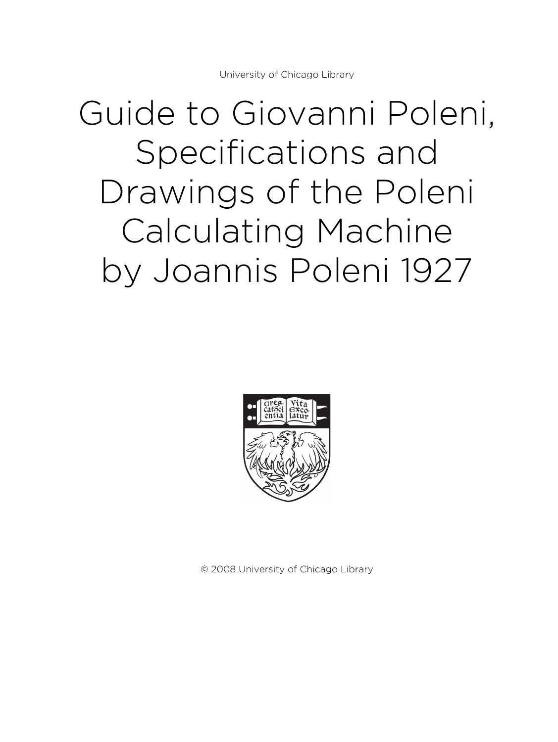# Guide to Giovanni Poleni, Specifications and Drawings of the Poleni Calculating Machine by Joannis Poleni 1927



© 2008 University of Chicago Library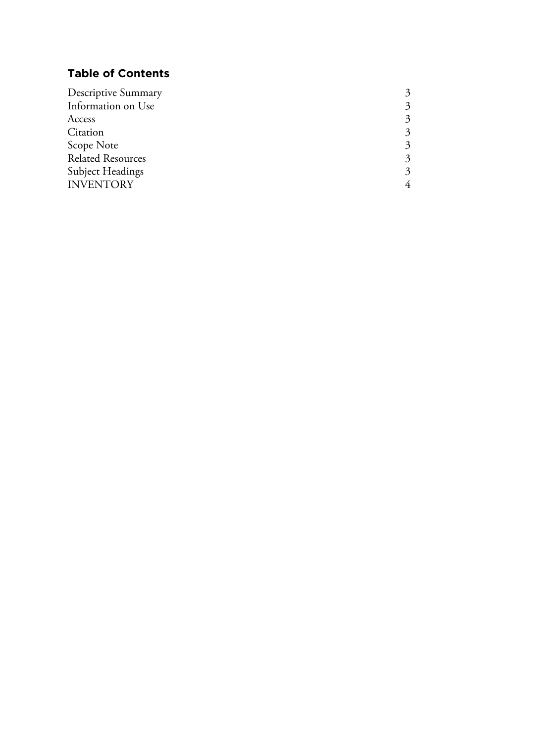# **Table of Contents**

| Descriptive Summary      |   |
|--------------------------|---|
| Information on Use       |   |
| Access                   |   |
| Citation                 | 2 |
| Scope Note               |   |
| <b>Related Resources</b> |   |
| <b>Subject Headings</b>  | 3 |
| <b>INVENTORY</b>         |   |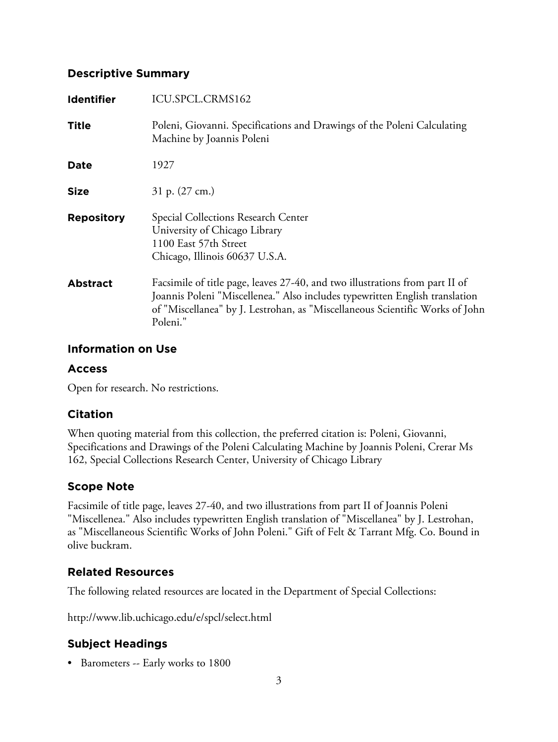### **Descriptive Summary**

| <b>Identifier</b> | ICU.SPCL.CRMS162                                                                                                                                                                                                                                        |
|-------------------|---------------------------------------------------------------------------------------------------------------------------------------------------------------------------------------------------------------------------------------------------------|
| Title             | Poleni, Giovanni. Specifications and Drawings of the Poleni Calculating<br>Machine by Joannis Poleni                                                                                                                                                    |
| Date              | 1927                                                                                                                                                                                                                                                    |
| <b>Size</b>       | 31 p. $(27 \text{ cm.})$                                                                                                                                                                                                                                |
| <b>Repository</b> | Special Collections Research Center<br>University of Chicago Library<br>1100 East 57th Street<br>Chicago, Illinois 60637 U.S.A.                                                                                                                         |
| <b>Abstract</b>   | Facsimile of title page, leaves 27-40, and two illustrations from part II of<br>Joannis Poleni "Miscellenea." Also includes typewritten English translation<br>of "Miscellanea" by J. Lestrohan, as "Miscellaneous Scientific Works of John<br>Poleni." |

### **Information on Use**

#### **Access**

Open for research. No restrictions.

## **Citation**

When quoting material from this collection, the preferred citation is: Poleni, Giovanni, Specifications and Drawings of the Poleni Calculating Machine by Joannis Poleni, Crerar Ms 162, Special Collections Research Center, University of Chicago Library

# **Scope Note**

Facsimile of title page, leaves 27-40, and two illustrations from part II of Joannis Poleni "Miscellenea." Also includes typewritten English translation of "Miscellanea" by J. Lestrohan, as "Miscellaneous Scientific Works of John Poleni." Gift of Felt & Tarrant Mfg. Co. Bound in olive buckram.

# **Related Resources**

The following related resources are located in the Department of Special Collections:

http://www.lib.uchicago.edu/e/spcl/select.html

# **Subject Headings**

• Barometers -- Early works to 1800